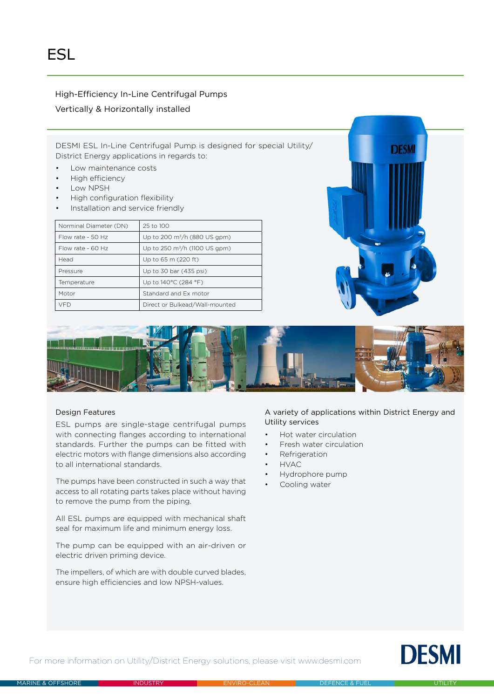# High-Efficiency In-Line Centrifugal Pumps

## Vertically & Horizontally installed

DESMI ESL In-Line Centrifugal Pump is designed for special Utility/ District Energy applications in regards to:

- Low maintenance costs
- High efficiency
- Low NPSH
- High configuration flexibility
- Installation and service friendly

| Norminal Diameter (DN) | 25 to 100                           |
|------------------------|-------------------------------------|
| Flow rate - $50$ Hz    | Up to 200 $\rm m^3/h$ (880 US gpm)  |
| Flow rate - 60 Hz      | Up to 250 $\rm m^3/h$ (1100 US gpm) |
| Head                   | Up to 65 m (220 ft)                 |
| Pressure               | Up to 30 bar (435 psi)              |
| Temperature            | Up to 140°C (284 °F)                |
| Motor                  | Standard and Ex motor               |
| VFD                    | Direct or Bulkead/Wall-mounted      |





### Design Features

ESL pumps are single-stage centrifugal pumps with connecting flanges according to international standards. Further the pumps can be fitted with electric motors with flange dimensions also according to all international standards.

The pumps have been constructed in such a way that access to all rotating parts takes place without having to remove the pump from the piping.

All ESL pumps are equipped with mechanical shaft seal for maximum life and minimum energy loss.

The pump can be equipped with an air-driven or electric driven priming device.

The impellers, of which are with double curved blades, ensure high efficiencies and low NPSH-values.

# A variety of applications within District Energy and Utility services

- Hot water circulation
- Fresh water circulation
- **Refrigeration**
- HVAC
- Hydrophore pump
- Cooling water